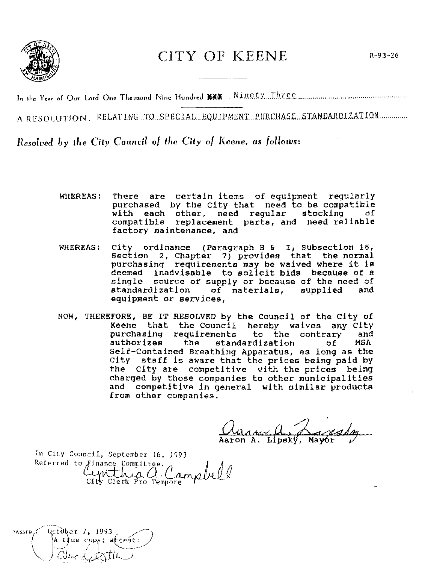

## **CITY OF KEENE**

In the Year of Our Lord One Thousand Nine Hundred KHK. Ninety Three

A RESOLUTION. RELATING TO SPECIAL EQUIPMENT PURCHASE STANDARDIZATION

Resolved by the City Council of the City of Keene, as follows:

- are certain items of equipment reqularly WHEREAS! There purchased by the City that need to be compatible with each other, need regular stocking of compatible replacement parts, and need reliable factory maintenance, and
- WHEREAS: City ordinance (Paragraph H & I, Subsection 15, section 2, Chapter 7) provides that the normal purchasing requirements may be waived where it is deemed inadvisable to solicit bids because of a single source of supply or because of the need of standardization of materials, supplied and equipment or services.
- NOW, THEREFORE, BE IT RESOLVED by the Council of the City of Keene that the Council hereby waives any City purchasing requirements to the contrary and authorizes the standardization  $\circ$ **f MSA** Self-Contained Breathing Apparatus, as long as the City staff is aware that the prices being paid by the City are competitive with the prices being charged by those companies to other municipalities and competitive in general with similar products from other companies.

anne a. L Aaron A. Lipský, Mayor

In City Council, September 16, 1993 Referred to Finance Committee. Cynthia a Campbell

October 7, 1993 PASSED, \A t∤ue copy; atte§t: alveid